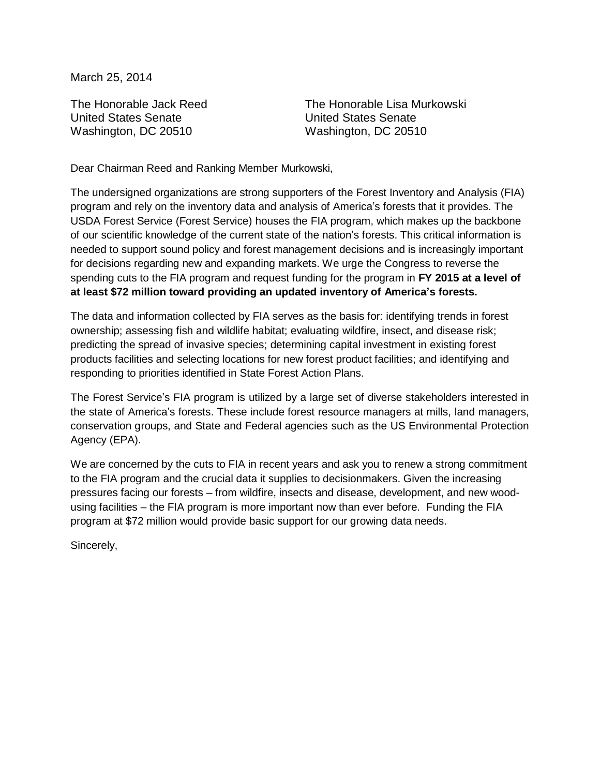March 25, 2014

The Honorable Jack Reed United States Senate Washington, DC 20510

The Honorable Lisa Murkowski United States Senate Washington, DC 20510

Dear Chairman Reed and Ranking Member Murkowski,

The undersigned organizations are strong supporters of the Forest Inventory and Analysis (FIA) program and rely on the inventory data and analysis of America's forests that it provides. The USDA Forest Service (Forest Service) houses the FIA program, which makes up the backbone of our scientific knowledge of the current state of the nation's forests. This critical information is needed to support sound policy and forest management decisions and is increasingly important for decisions regarding new and expanding markets. We urge the Congress to reverse the spending cuts to the FIA program and request funding for the program in **FY 2015 at a level of at least \$72 million toward providing an updated inventory of America's forests.**

The data and information collected by FIA serves as the basis for: identifying trends in forest ownership; assessing fish and wildlife habitat; evaluating wildfire, insect, and disease risk; predicting the spread of invasive species; determining capital investment in existing forest products facilities and selecting locations for new forest product facilities; and identifying and responding to priorities identified in State Forest Action Plans.

The Forest Service's FIA program is utilized by a large set of diverse stakeholders interested in the state of America's forests. These include forest resource managers at mills, land managers, conservation groups, and State and Federal agencies such as the US Environmental Protection Agency (EPA).

We are concerned by the cuts to FIA in recent years and ask you to renew a strong commitment to the FIA program and the crucial data it supplies to decisionmakers. Given the increasing pressures facing our forests – from wildfire, insects and disease, development, and new woodusing facilities – the FIA program is more important now than ever before. Funding the FIA program at \$72 million would provide basic support for our growing data needs.

Sincerely,